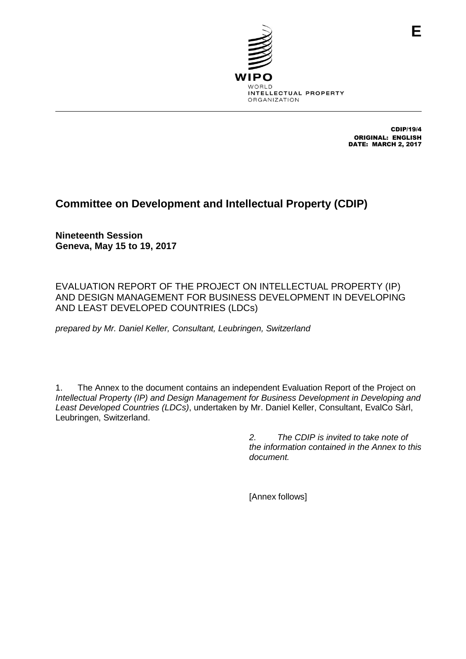

CDIP/19/4 ORIGINAL: ENGLISH DATE: MARCH 2, 2017

**E**

# **Committee on Development and Intellectual Property (CDIP)**

**Nineteenth Session Geneva, May 15 to 19, 2017**

EVALUATION REPORT OF THE PROJECT ON INTELLECTUAL PROPERTY (IP) AND DESIGN MANAGEMENT FOR BUSINESS DEVELOPMENT IN DEVELOPING AND LEAST DEVELOPED COUNTRIES (LDCs)

*prepared by Mr. Daniel Keller, Consultant, Leubringen, Switzerland*

1. The Annex to the document contains an independent Evaluation Report of the Project on *Intellectual Property (IP) and Design Management for Business Development in Developing and Least Developed Countries (LDCs)*, undertaken by Mr. Daniel Keller, Consultant, EvalCo Sàrl, Leubringen, Switzerland.

> *2. The CDIP is invited to take note of the information contained in the Annex to this document.*

[Annex follows]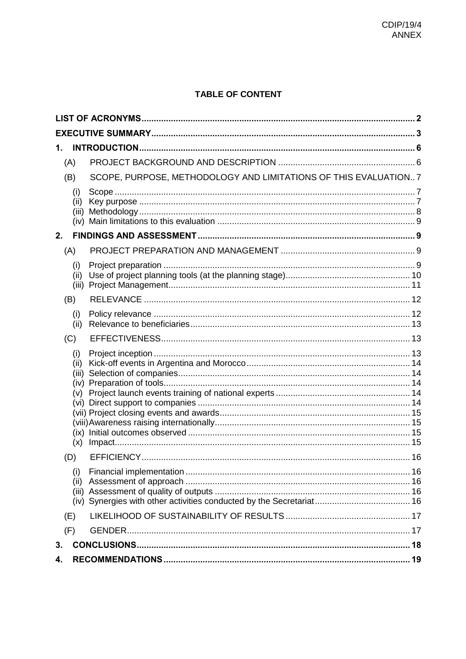# **TABLE OF CONTENT**

| 1. |                             |                                                                 |  |  |  |  |
|----|-----------------------------|-----------------------------------------------------------------|--|--|--|--|
|    | (A)                         |                                                                 |  |  |  |  |
|    | (B)                         | SCOPE, PURPOSE, METHODOLOGY AND LIMITATIONS OF THIS EVALUATION7 |  |  |  |  |
|    | (i)<br>(ii)<br>(iii)        |                                                                 |  |  |  |  |
| 2. |                             |                                                                 |  |  |  |  |
|    | (A)                         |                                                                 |  |  |  |  |
|    | (i)<br>(ii)<br>(iii)        |                                                                 |  |  |  |  |
|    | (B)                         |                                                                 |  |  |  |  |
|    | (i)<br>(ii)                 |                                                                 |  |  |  |  |
|    | (C)                         |                                                                 |  |  |  |  |
|    | (i)<br>(ii)<br>(iii)<br>(v) |                                                                 |  |  |  |  |
|    | (D)                         |                                                                 |  |  |  |  |
|    | (i)<br>(ii)                 |                                                                 |  |  |  |  |
|    | (E)                         |                                                                 |  |  |  |  |
|    | (F)                         |                                                                 |  |  |  |  |
| 3. |                             |                                                                 |  |  |  |  |
| 4. |                             |                                                                 |  |  |  |  |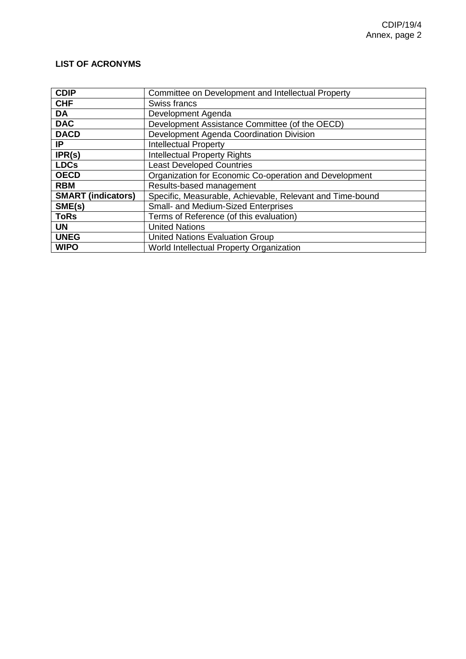# <span id="page-2-0"></span>**LIST OF ACRONYMS**

| <b>CDIP</b>               | Committee on Development and Intellectual Property        |
|---------------------------|-----------------------------------------------------------|
| <b>CHF</b>                | Swiss francs                                              |
| DA                        | Development Agenda                                        |
| <b>DAC</b>                | Development Assistance Committee (of the OECD)            |
| <b>DACD</b>               | Development Agenda Coordination Division                  |
| IP                        | <b>Intellectual Property</b>                              |
| IPR(s)                    | <b>Intellectual Property Rights</b>                       |
| <b>LDCs</b>               | <b>Least Developed Countries</b>                          |
| <b>OECD</b>               | Organization for Economic Co-operation and Development    |
| <b>RBM</b>                | Results-based management                                  |
| <b>SMART (indicators)</b> | Specific, Measurable, Achievable, Relevant and Time-bound |
| SME(s)                    | <b>Small- and Medium-Sized Enterprises</b>                |
| <b>ToRs</b>               | Terms of Reference (of this evaluation)                   |
| <b>UN</b>                 | <b>United Nations</b>                                     |
| <b>UNEG</b>               | <b>United Nations Evaluation Group</b>                    |
| <b>WIPO</b>               | World Intellectual Property Organization                  |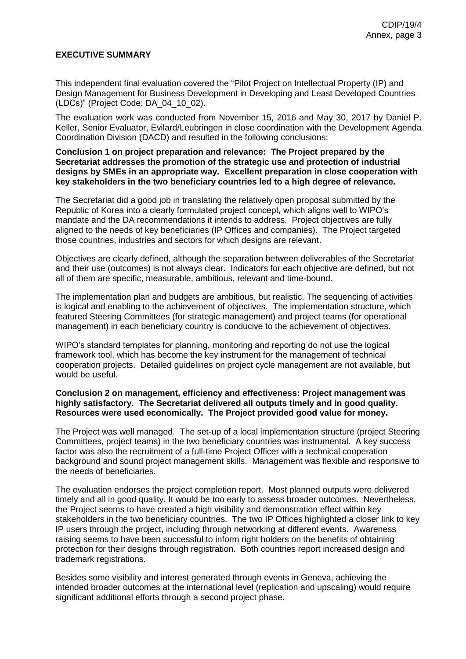### <span id="page-3-0"></span>**EXECUTIVE SUMMARY**

This independent final evaluation covered the "Pilot Project on Intellectual Property (IP) and Design Management for Business Development in Developing and Least Developed Countries (LDCs)" (Project Code: DA\_04\_10\_02).

The evaluation work was conducted from November 15, 2016 and May 30, 2017 by Daniel P. Keller, Senior Evaluator, Evilard/Leubringen in close coordination with the Development Agenda Coordination Division (DACD) and resulted in the following conclusions:

#### **Conclusion 1 on project preparation and relevance: The Project prepared by the Secretariat addresses the promotion of the strategic use and protection of industrial designs by SMEs in an appropriate way. Excellent preparation in close cooperation with key stakeholders in the two beneficiary countries led to a high degree of relevance.**

The Secretariat did a good job in translating the relatively open proposal submitted by the Republic of Korea into a clearly formulated project concept, which aligns well to WIPO's mandate and the DA recommendations it intends to address. Project objectives are fully aligned to the needs of key beneficiaries (IP Offices and companies). The Project targeted those countries, industries and sectors for which designs are relevant.

Objectives are clearly defined, although the separation between deliverables of the Secretariat and their use (outcomes) is not always clear. Indicators for each objective are defined, but not all of them are specific, measurable, ambitious, relevant and time-bound.

The implementation plan and budgets are ambitious, but realistic. The sequencing of activities is logical and enabling to the achievement of objectives. The implementation structure, which featured Steering Committees (for strategic management) and project teams (for operational management) in each beneficiary country is conducive to the achievement of objectives.

WIPO's standard templates for planning, monitoring and reporting do not use the logical framework tool, which has become the key instrument for the management of technical cooperation projects. Detailed guidelines on project cycle management are not available, but would be useful.

#### **Conclusion 2 on management, efficiency and effectiveness: Project management was highly satisfactory. The Secretariat delivered all outputs timely and in good quality. Resources were used economically. The Project provided good value for money.**

The Project was well managed. The set-up of a local implementation structure (project Steering Committees, project teams) in the two beneficiary countries was instrumental. A key success factor was also the recruitment of a full-time Project Officer with a technical cooperation background and sound project management skills. Management was flexible and responsive to the needs of beneficiaries.

The evaluation endorses the project completion report. Most planned outputs were delivered timely and all in good quality. It would be too early to assess broader outcomes. Nevertheless, the Project seems to have created a high visibility and demonstration effect within key stakeholders in the two beneficiary countries. The two IP Offices highlighted a closer link to key IP users through the project, including through networking at different events. Awareness raising seems to have been successful to inform right holders on the benefits of obtaining protection for their designs through registration. Both countries report increased design and trademark registrations.

Besides some visibility and interest generated through events in Geneva, achieving the intended broader outcomes at the international level (replication and upscaling) would require significant additional efforts through a second project phase.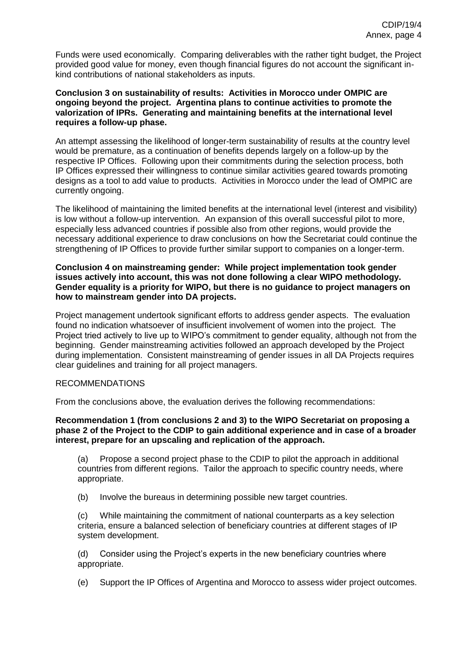Funds were used economically. Comparing deliverables with the rather tight budget, the Project provided good value for money, even though financial figures do not account the significant inkind contributions of national stakeholders as inputs.

#### **Conclusion 3 on sustainability of results: Activities in Morocco under OMPIC are ongoing beyond the project. Argentina plans to continue activities to promote the valorization of IPRs. Generating and maintaining benefits at the international level requires a follow-up phase.**

An attempt assessing the likelihood of longer-term sustainability of results at the country level would be premature, as a continuation of benefits depends largely on a follow-up by the respective IP Offices. Following upon their commitments during the selection process, both IP Offices expressed their willingness to continue similar activities geared towards promoting designs as a tool to add value to products. Activities in Morocco under the lead of OMPIC are currently ongoing.

The likelihood of maintaining the limited benefits at the international level (interest and visibility) is low without a follow-up intervention. An expansion of this overall successful pilot to more, especially less advanced countries if possible also from other regions, would provide the necessary additional experience to draw conclusions on how the Secretariat could continue the strengthening of IP Offices to provide further similar support to companies on a longer-term.

#### **Conclusion 4 on mainstreaming gender: While project implementation took gender issues actively into account, this was not done following a clear WIPO methodology. Gender equality is a priority for WIPO, but there is no guidance to project managers on how to mainstream gender into DA projects.**

Project management undertook significant efforts to address gender aspects. The evaluation found no indication whatsoever of insufficient involvement of women into the project. The Project tried actively to live up to WIPO's commitment to gender equality, although not from the beginning. Gender mainstreaming activities followed an approach developed by the Project during implementation. Consistent mainstreaming of gender issues in all DA Projects requires clear guidelines and training for all project managers.

### RECOMMENDATIONS

From the conclusions above, the evaluation derives the following recommendations:

#### **Recommendation 1 (from conclusions 2 and 3) to the WIPO Secretariat on proposing a phase 2 of the Project to the CDIP to gain additional experience and in case of a broader interest, prepare for an upscaling and replication of the approach.**

(a) Propose a second project phase to the CDIP to pilot the approach in additional countries from different regions. Tailor the approach to specific country needs, where appropriate.

(b) Involve the bureaus in determining possible new target countries.

(c) While maintaining the commitment of national counterparts as a key selection criteria, ensure a balanced selection of beneficiary countries at different stages of IP system development.

(d) Consider using the Project's experts in the new beneficiary countries where appropriate.

(e) Support the IP Offices of Argentina and Morocco to assess wider project outcomes.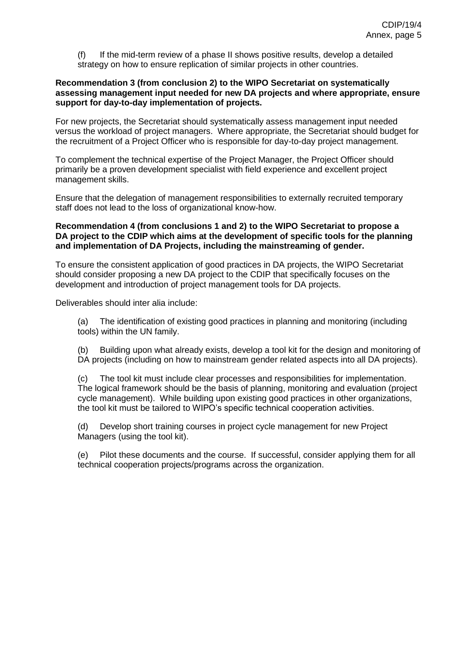(f) If the mid-term review of a phase II shows positive results, develop a detailed strategy on how to ensure replication of similar projects in other countries.

#### **Recommendation 3 (from conclusion 2) to the WIPO Secretariat on systematically assessing management input needed for new DA projects and where appropriate, ensure support for day-to-day implementation of projects.**

For new projects, the Secretariat should systematically assess management input needed versus the workload of project managers. Where appropriate, the Secretariat should budget for the recruitment of a Project Officer who is responsible for day-to-day project management.

To complement the technical expertise of the Project Manager, the Project Officer should primarily be a proven development specialist with field experience and excellent project management skills.

Ensure that the delegation of management responsibilities to externally recruited temporary staff does not lead to the loss of organizational know-how.

#### **Recommendation 4 (from conclusions 1 and 2) to the WIPO Secretariat to propose a DA project to the CDIP which aims at the development of specific tools for the planning and implementation of DA Projects, including the mainstreaming of gender.**

To ensure the consistent application of good practices in DA projects, the WIPO Secretariat should consider proposing a new DA project to the CDIP that specifically focuses on the development and introduction of project management tools for DA projects.

Deliverables should inter alia include:

(a) The identification of existing good practices in planning and monitoring (including tools) within the UN family.

(b) Building upon what already exists, develop a tool kit for the design and monitoring of DA projects (including on how to mainstream gender related aspects into all DA projects).

(c) The tool kit must include clear processes and responsibilities for implementation. The logical framework should be the basis of planning, monitoring and evaluation (project cycle management). While building upon existing good practices in other organizations, the tool kit must be tailored to WIPO's specific technical cooperation activities.

(d) Develop short training courses in project cycle management for new Project Managers (using the tool kit).

(e) Pilot these documents and the course. If successful, consider applying them for all technical cooperation projects/programs across the organization.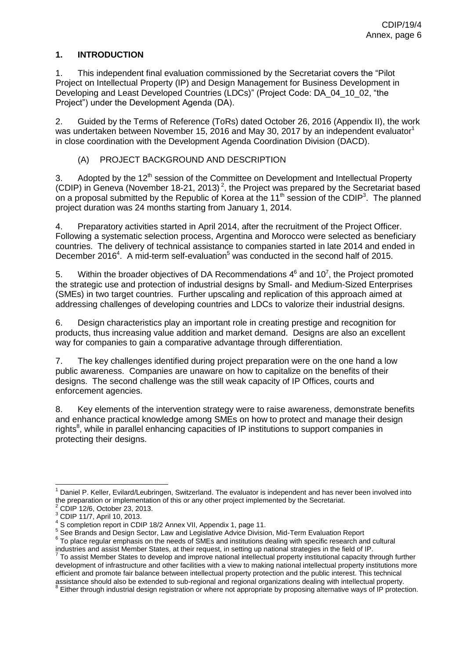### <span id="page-6-0"></span>**1. INTRODUCTION**

1. This independent final evaluation commissioned by the Secretariat covers the "Pilot Project on Intellectual Property (IP) and Design Management for Business Development in Developing and Least Developed Countries (LDCs)" (Project Code: DA\_04\_10\_02, "the Project") under the Development Agenda (DA).

2. Guided by the Terms of Reference (ToRs) dated October 26, 2016 (Appendix II), the work was undertaken between November 15, 2016 and May 30, 2017 by an independent evaluator<sup>1</sup> in close coordination with the Development Agenda Coordination Division (DACD).

## (A) PROJECT BACKGROUND AND DESCRIPTION

<span id="page-6-1"></span>3. Adopted by the 12<sup>th</sup> session of the Committee on Development and Intellectual Property (CDIP) in Geneva (November 18-21, 2013)<sup>2</sup>, the Project was prepared by the Secretariat based on a proposal submitted by the Republic of Korea at the 11<sup>th</sup> session of the CDIP<sup>3</sup>. The planned project duration was 24 months starting from January 1, 2014.

4. Preparatory activities started in April 2014, after the recruitment of the Project Officer. Following a systematic selection process, Argentina and Morocco were selected as beneficiary countries. The delivery of technical assistance to companies started in late 2014 and ended in December 2016<sup>4</sup>. A mid-term self-evaluation<sup>5</sup> was conducted in the second half of 2015.

5. Within the broader objectives of DA Recommendations  $4^6$  and 10<sup>7</sup>, the Project promoted the strategic use and protection of industrial designs by Small- and Medium-Sized Enterprises (SMEs) in two target countries. Further upscaling and replication of this approach aimed at addressing challenges of developing countries and LDCs to valorize their industrial designs.

6. Design characteristics play an important role in creating prestige and recognition for products, thus increasing value addition and market demand. Designs are also an excellent way for companies to gain a comparative advantage through differentiation.

7. The key challenges identified during project preparation were on the one hand a low public awareness. Companies are unaware on how to capitalize on the benefits of their designs. The second challenge was the still weak capacity of IP Offices, courts and enforcement agencies.

8. Key elements of the intervention strategy were to raise awareness, demonstrate benefits and enhance practical knowledge among SMEs on how to protect and manage their design rights<sup>8</sup>, while in parallel enhancing capacities of IP institutions to support companies in protecting their designs.

j <sup>1</sup> Daniel P. Keller, Evilard/Leubringen, Switzerland. The evaluator is independent and has never been involved into the preparation or implementation of this or any other project implemented by the Secretariat.

<sup>2</sup> CDIP 12/6, October 23, 2013.

<sup>3</sup> CDIP 11/7, April 10, 2013.

<sup>&</sup>lt;sup>4</sup> S completion report in CDIP 18/2 Annex VII, Appendix 1, page 11.

<sup>&</sup>lt;sup>5</sup> See Brands and Design Sector, Law and Legislative Advice Division, Mid-Term Evaluation Report

 $6$  To place regular emphasis on the needs of SMEs and institutions dealing with specific research and cultural

industries and assist Member States, at their request, in setting up national strategies in the field of IP.<br><sup>7</sup> To assist Member States to develop and improve national intellectual property institutional capacity through development of infrastructure and other facilities with a view to making national intellectual property institutions more efficient and promote fair balance between intellectual property protection and the public interest. This technical assistance should also be extended to sub-regional and regional organizations dealing with intellectual property.

<sup>&</sup>lt;sup>8</sup> Either through industrial design registration or where not appropriate by proposing alternative ways of IP protection.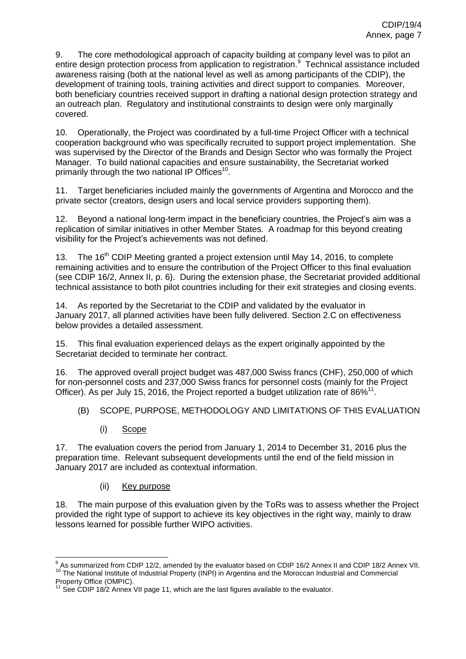9. The core methodological approach of capacity building at company level was to pilot an entire design protection process from application to registration.<sup>9</sup> Technical assistance included awareness raising (both at the national level as well as among participants of the CDIP), the development of training tools, training activities and direct support to companies. Moreover, both beneficiary countries received support in drafting a national design protection strategy and an outreach plan. Regulatory and institutional constraints to design were only marginally covered.

10. Operationally, the Project was coordinated by a full-time Project Officer with a technical cooperation background who was specifically recruited to support project implementation. She was supervised by the Director of the Brands and Design Sector who was formally the Project Manager. To build national capacities and ensure sustainability, the Secretariat worked primarily through the two national IP Offices<sup>10</sup>.

11. Target beneficiaries included mainly the governments of Argentina and Morocco and the private sector (creators, design users and local service providers supporting them).

12. Beyond a national long-term impact in the beneficiary countries, the Project's aim was a replication of similar initiatives in other Member States. A roadmap for this beyond creating visibility for the Project's achievements was not defined.

13. The 16<sup>th</sup> CDIP Meeting granted a project extension until May 14, 2016, to complete remaining activities and to ensure the contribution of the Project Officer to this final evaluation (see CDIP 16/2, Annex II, p. 6). During the extension phase, the Secretariat provided additional technical assistance to both pilot countries including for their exit strategies and closing events.

14. As reported by the Secretariat to the CDIP and validated by the evaluator in January 2017, all planned activities have been fully delivered. Section 2.C on effectiveness below provides a detailed assessment.

15. This final evaluation experienced delays as the expert originally appointed by the Secretariat decided to terminate her contract.

16. The approved overall project budget was 487,000 Swiss francs (CHF), 250,000 of which for non-personnel costs and 237,000 Swiss francs for personnel costs (mainly for the Project Officer). As per July 15, 2016, the Project reported a budget utilization rate of 86%<sup>11</sup>.

- <span id="page-7-0"></span>(B) SCOPE, PURPOSE, METHODOLOGY AND LIMITATIONS OF THIS EVALUATION
	- (i) Scope

<span id="page-7-1"></span>17. The evaluation covers the period from January 1, 2014 to December 31, 2016 plus the preparation time. Relevant subsequent developments until the end of the field mission in January 2017 are included as contextual information.

(ii) Key purpose

<span id="page-7-2"></span>18. The main purpose of this evaluation given by the ToRs was to assess whether the Project provided the right type of support to achieve its key objectives in the right way, mainly to draw lessons learned for possible further WIPO activities.

 9 As summarized from CDIP 12/2, amended by the evaluator based on CDIP 16/2 Annex II and CDIP 18/2 Annex VII. <sup>10</sup> The National Institute of Industrial Property (INPI) in Argentina and the Moroccan Industrial and Commercial Property Office (OMPIC).

See CDIP 18/2 Annex VII page 11, which are the last figures available to the evaluator.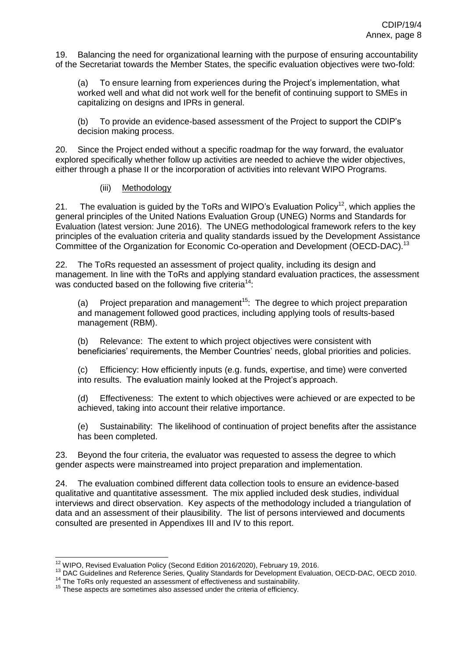19. Balancing the need for organizational learning with the purpose of ensuring accountability of the Secretariat towards the Member States, the specific evaluation objectives were two-fold:

(a) To ensure learning from experiences during the Project's implementation, what worked well and what did not work well for the benefit of continuing support to SMEs in capitalizing on designs and IPRs in general.

(b) To provide an evidence-based assessment of the Project to support the CDIP's decision making process.

20. Since the Project ended without a specific roadmap for the way forward, the evaluator explored specifically whether follow up activities are needed to achieve the wider objectives, either through a phase II or the incorporation of activities into relevant WIPO Programs.

### (iii) Methodology

<span id="page-8-0"></span>21. The evaluation is guided by the ToRs and WIPO's Evaluation Policy<sup>12</sup>, which applies the general principles of the United Nations Evaluation Group (UNEG) Norms and Standards for Evaluation (latest version: June 2016). The UNEG methodological framework refers to the key principles of the evaluation criteria and quality standards issued by the Development Assistance Committee of the Organization for Economic Co-operation and Development (OECD-DAC).<sup>13</sup>

22. The ToRs requested an assessment of project quality, including its design and management. In line with the ToRs and applying standard evaluation practices, the assessment was conducted based on the following five criteria<sup>14</sup>:

(a) Project preparation and management<sup>15</sup>: The degree to which project preparation and management followed good practices, including applying tools of results-based management (RBM).

(b) Relevance: The extent to which project objectives were consistent with beneficiaries' requirements, the Member Countries' needs, global priorities and policies.

(c) Efficiency: How efficiently inputs (e.g. funds, expertise, and time) were converted into results. The evaluation mainly looked at the Project's approach.

(d) Effectiveness: The extent to which objectives were achieved or are expected to be achieved, taking into account their relative importance.

(e) Sustainability: The likelihood of continuation of project benefits after the assistance has been completed.

23. Beyond the four criteria, the evaluator was requested to assess the degree to which gender aspects were mainstreamed into project preparation and implementation.

24. The evaluation combined different data collection tools to ensure an evidence-based qualitative and quantitative assessment. The mix applied included desk studies, individual interviews and direct observation. Key aspects of the methodology included a triangulation of data and an assessment of their plausibility. The list of persons interviewed and documents consulted are presented in Appendixes III and IV to this report.

  $12$  WIPO, Revised Evaluation Policy (Second Edition 2016/2020), February 19, 2016.

<sup>13</sup> DAC Guidelines and Reference Series, Quality Standards for Development Evaluation, OECD-DAC, OECD 2010.

<sup>&</sup>lt;sup>14</sup> The ToRs only requested an assessment of effectiveness and sustainability.

<sup>&</sup>lt;sup>15</sup> These aspects are sometimes also assessed under the criteria of efficiency.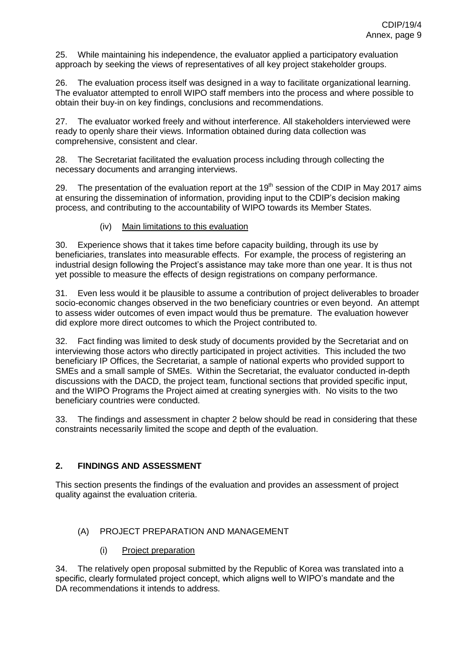25. While maintaining his independence, the evaluator applied a participatory evaluation approach by seeking the views of representatives of all key project stakeholder groups.

26. The evaluation process itself was designed in a way to facilitate organizational learning. The evaluator attempted to enroll WIPO staff members into the process and where possible to obtain their buy-in on key findings, conclusions and recommendations.

27. The evaluator worked freely and without interference. All stakeholders interviewed were ready to openly share their views. Information obtained during data collection was comprehensive, consistent and clear.

28. The Secretariat facilitated the evaluation process including through collecting the necessary documents and arranging interviews.

29. The presentation of the evaluation report at the 19<sup>th</sup> session of the CDIP in May 2017 aims at ensuring the dissemination of information, providing input to the CDIP's decision making process, and contributing to the accountability of WIPO towards its Member States.

(iv) Main limitations to this evaluation

<span id="page-9-0"></span>30. Experience shows that it takes time before capacity building, through its use by beneficiaries, translates into measurable effects. For example, the process of registering an industrial design following the Project's assistance may take more than one year. It is thus not yet possible to measure the effects of design registrations on company performance.

31. Even less would it be plausible to assume a contribution of project deliverables to broader socio-economic changes observed in the two beneficiary countries or even beyond. An attempt to assess wider outcomes of even impact would thus be premature. The evaluation however did explore more direct outcomes to which the Project contributed to.

32. Fact finding was limited to desk study of documents provided by the Secretariat and on interviewing those actors who directly participated in project activities. This included the two beneficiary IP Offices, the Secretariat, a sample of national experts who provided support to SMEs and a small sample of SMEs. Within the Secretariat, the evaluator conducted in-depth discussions with the DACD, the project team, functional sections that provided specific input, and the WIPO Programs the Project aimed at creating synergies with. No visits to the two beneficiary countries were conducted.

33. The findings and assessment in chapter 2 below should be read in considering that these constraints necessarily limited the scope and depth of the evaluation.

# <span id="page-9-1"></span>**2. FINDINGS AND ASSESSMENT**

This section presents the findings of the evaluation and provides an assessment of project quality against the evaluation criteria.

# <span id="page-9-2"></span>(A) PROJECT PREPARATION AND MANAGEMENT

# (i) Project preparation

<span id="page-9-3"></span>34. The relatively open proposal submitted by the Republic of Korea was translated into a specific, clearly formulated project concept, which aligns well to WIPO's mandate and the DA recommendations it intends to address.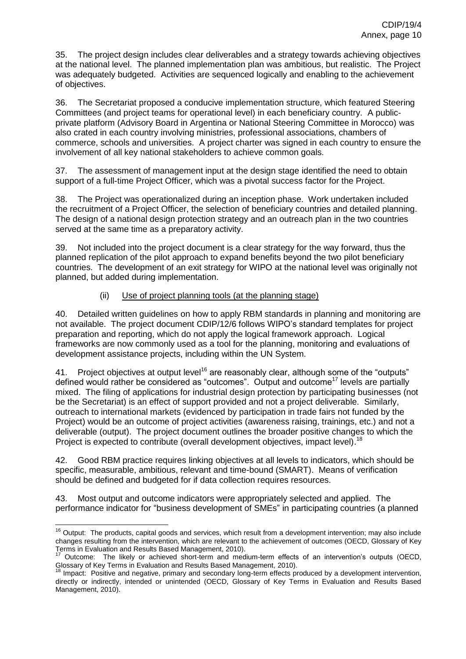35. The project design includes clear deliverables and a strategy towards achieving objectives at the national level. The planned implementation plan was ambitious, but realistic. The Project was adequately budgeted. Activities are sequenced logically and enabling to the achievement of objectives.

36. The Secretariat proposed a conducive implementation structure, which featured Steering Committees (and project teams for operational level) in each beneficiary country. A publicprivate platform (Advisory Board in Argentina or National Steering Committee in Morocco) was also crated in each country involving ministries, professional associations, chambers of commerce, schools and universities. A project charter was signed in each country to ensure the involvement of all key national stakeholders to achieve common goals.

37. The assessment of management input at the design stage identified the need to obtain support of a full-time Project Officer, which was a pivotal success factor for the Project.

38. The Project was operationalized during an inception phase. Work undertaken included the recruitment of a Project Officer, the selection of beneficiary countries and detailed planning. The design of a national design protection strategy and an outreach plan in the two countries served at the same time as a preparatory activity.

39. Not included into the project document is a clear strategy for the way forward, thus the planned replication of the pilot approach to expand benefits beyond the two pilot beneficiary countries. The development of an exit strategy for WIPO at the national level was originally not planned, but added during implementation.

## (ii) Use of project planning tools (at the planning stage)

<span id="page-10-0"></span>40. Detailed written guidelines on how to apply RBM standards in planning and monitoring are not available. The project document CDIP/12/6 follows WIPO's standard templates for project preparation and reporting, which do not apply the logical framework approach. Logical frameworks are now commonly used as a tool for the planning, monitoring and evaluations of development assistance projects, including within the UN System.

41. Project objectives at output level<sup>16</sup> are reasonably clear, although some of the "outputs" defined would rather be considered as "outcomes". Output and outcome<sup>17</sup> levels are partially mixed. The filing of applications for industrial design protection by participating businesses (not be the Secretariat) is an effect of support provided and not a project deliverable. Similarly, outreach to international markets (evidenced by participation in trade fairs not funded by the Project) would be an outcome of project activities (awareness raising, trainings, etc.) and not a deliverable (output). The project document outlines the broader positive changes to which the Project is expected to contribute (overall development objectives, impact level).<sup>18</sup>

42. Good RBM practice requires linking objectives at all levels to indicators, which should be specific, measurable, ambitious, relevant and time-bound (SMART). Means of verification should be defined and budgeted for if data collection requires resources.

43. Most output and outcome indicators were appropriately selected and applied. The performance indicator for "business development of SMEs" in participating countries (a planned

j <sup>16</sup> Output: The products, capital goods and services, which result from a development intervention; may also include changes resulting from the intervention, which are relevant to the achievement of outcomes (OECD, Glossary of Key Terms in Evaluation and Results Based Management, 2010).

Outcome: The likely or achieved short-term and medium-term effects of an intervention's outputs (OECD, Glossary of Key Terms in Evaluation and Results Based Management, 2010).

<sup>&</sup>lt;sup>18</sup> Impact: Positive and negative, primary and secondary long-term effects produced by a development intervention, directly or indirectly, intended or unintended (OECD, Glossary of Key Terms in Evaluation and Results Based Management, 2010).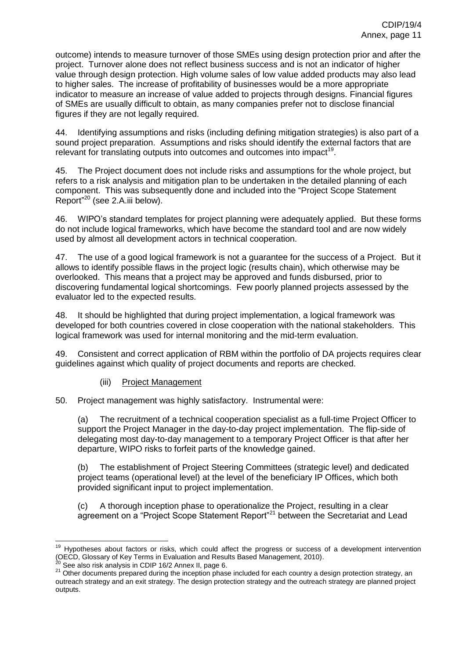outcome) intends to measure turnover of those SMEs using design protection prior and after the project. Turnover alone does not reflect business success and is not an indicator of higher value through design protection. High volume sales of low value added products may also lead to higher sales. The increase of profitability of businesses would be a more appropriate indicator to measure an increase of value added to projects through designs. Financial figures of SMEs are usually difficult to obtain, as many companies prefer not to disclose financial figures if they are not legally required.

44. Identifying assumptions and risks (including defining mitigation strategies) is also part of a sound project preparation. Assumptions and risks should identify the external factors that are relevant for translating outputs into outcomes and outcomes into impact<sup>19</sup>.

45. The Project document does not include risks and assumptions for the whole project, but refers to a risk analysis and mitigation plan to be undertaken in the detailed planning of each component. This was subsequently done and included into the "Project Scope Statement Report"<sup>20</sup> (see 2.A.iii below).

46. WIPO's standard templates for project planning were adequately applied. But these forms do not include logical frameworks, which have become the standard tool and are now widely used by almost all development actors in technical cooperation.

47. The use of a good logical framework is not a guarantee for the success of a Project. But it allows to identify possible flaws in the project logic (results chain), which otherwise may be overlooked. This means that a project may be approved and funds disbursed, prior to discovering fundamental logical shortcomings. Few poorly planned projects assessed by the evaluator led to the expected results.

48. It should be highlighted that during project implementation, a logical framework was developed for both countries covered in close cooperation with the national stakeholders. This logical framework was used for internal monitoring and the mid-term evaluation.

49. Consistent and correct application of RBM within the portfolio of DA projects requires clear guidelines against which quality of project documents and reports are checked.

# (iii) Project Management

<span id="page-11-0"></span>50. Project management was highly satisfactory. Instrumental were:

(a) The recruitment of a technical cooperation specialist as a full-time Project Officer to support the Project Manager in the day-to-day project implementation. The flip-side of delegating most day-to-day management to a temporary Project Officer is that after her departure, WIPO risks to forfeit parts of the knowledge gained.

(b) The establishment of Project Steering Committees (strategic level) and dedicated project teams (operational level) at the level of the beneficiary IP Offices, which both provided significant input to project implementation.

(c) A thorough inception phase to operationalize the Project, resulting in a clear agreement on a "Project Scope Statement Report"<sup>21</sup> between the Secretariat and Lead

 <sup>19</sup> Hypotheses about factors or risks, which could affect the progress or success of a development intervention (OECD, Glossary of Key Terms in Evaluation and Results Based Management, 2010).

See also risk analysis in CDIP 16/2 Annex II, page 6.

<sup>&</sup>lt;sup>21</sup> Other documents prepared during the inception phase included for each country a design protection strategy, an outreach strategy and an exit strategy. The design protection strategy and the outreach strategy are planned project outputs.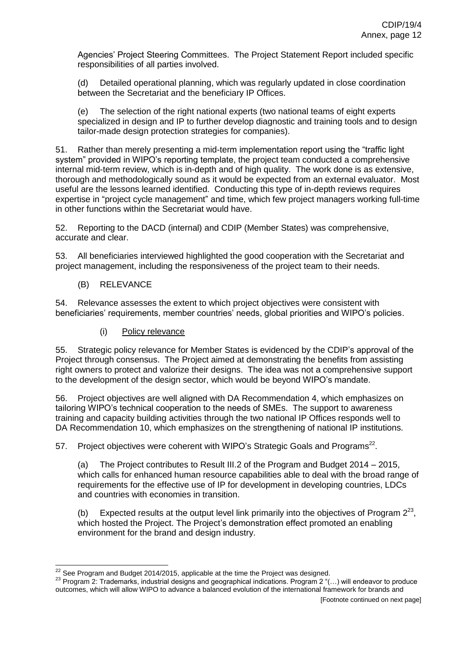Agencies' Project Steering Committees. The Project Statement Report included specific responsibilities of all parties involved.

(d) Detailed operational planning, which was regularly updated in close coordination between the Secretariat and the beneficiary IP Offices.

(e) The selection of the right national experts (two national teams of eight experts specialized in design and IP to further develop diagnostic and training tools and to design tailor-made design protection strategies for companies).

51. Rather than merely presenting a mid-term implementation report using the "traffic light system" provided in WIPO's reporting template, the project team conducted a comprehensive internal mid-term review, which is in-depth and of high quality. The work done is as extensive, thorough and methodologically sound as it would be expected from an external evaluator. Most useful are the lessons learned identified. Conducting this type of in-depth reviews requires expertise in "project cycle management" and time, which few project managers working full-time in other functions within the Secretariat would have.

52. Reporting to the DACD (internal) and CDIP (Member States) was comprehensive, accurate and clear.

53. All beneficiaries interviewed highlighted the good cooperation with the Secretariat and project management, including the responsiveness of the project team to their needs.

### (B) RELEVANCE

<span id="page-12-0"></span>54. Relevance assesses the extent to which project objectives were consistent with beneficiaries' requirements, member countries' needs, global priorities and WIPO's policies.

# (i) Policy relevance

<span id="page-12-1"></span>55. Strategic policy relevance for Member States is evidenced by the CDIP's approval of the Project through consensus. The Project aimed at demonstrating the benefits from assisting right owners to protect and valorize their designs. The idea was not a comprehensive support to the development of the design sector, which would be beyond WIPO's mandate.

56. Project objectives are well aligned with DA Recommendation 4, which emphasizes on tailoring WIPO's technical cooperation to the needs of SMEs. The support to awareness training and capacity building activities through the two national IP Offices responds well to DA Recommendation 10, which emphasizes on the strengthening of national IP institutions.

57. Project objectives were coherent with WIPO's Strategic Goals and Programs<sup>22</sup>.

(a) The Project contributes to Result III.2 of the Program and Budget 2014 – 2015, which calls for enhanced human resource capabilities able to deal with the broad range of requirements for the effective use of IP for development in developing countries, LDCs and countries with economies in transition.

(b) Expected results at the output level link primarily into the objectives of Program  $2^{23}$ , which hosted the Project. The Project's demonstration effect promoted an enabling environment for the brand and design industry.

  $^{22}$  See Program and Budget 2014/2015, applicable at the time the Project was designed.

<sup>23</sup> Program 2: Trademarks, industrial designs and geographical indications. Program 2 "(…) will endeavor to produce outcomes, which will allow WIPO to advance a balanced evolution of the international framework for brands and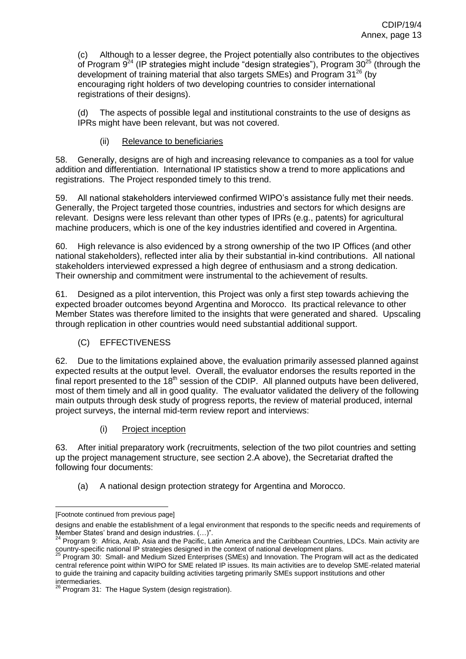(c) Although to a lesser degree, the Project potentially also contributes to the objectives of Program  $9^{24}$  (IP strategies might include "design strategies"), Program 30<sup>25</sup> (through the development of training material that also targets SMEs) and Program 31<sup>26</sup> (by encouraging right holders of two developing countries to consider international registrations of their designs).

(d) The aspects of possible legal and institutional constraints to the use of designs as IPRs might have been relevant, but was not covered.

(ii) Relevance to beneficiaries

<span id="page-13-0"></span>58. Generally, designs are of high and increasing relevance to companies as a tool for value addition and differentiation. International IP statistics show a trend to more applications and registrations. The Project responded timely to this trend.

59. All national stakeholders interviewed confirmed WIPO's assistance fully met their needs. Generally, the Project targeted those countries, industries and sectors for which designs are relevant. Designs were less relevant than other types of IPRs (e.g., patents) for agricultural machine producers, which is one of the key industries identified and covered in Argentina.

60. High relevance is also evidenced by a strong ownership of the two IP Offices (and other national stakeholders), reflected inter alia by their substantial in-kind contributions. All national stakeholders interviewed expressed a high degree of enthusiasm and a strong dedication. Their ownership and commitment were instrumental to the achievement of results.

61. Designed as a pilot intervention, this Project was only a first step towards achieving the expected broader outcomes beyond Argentina and Morocco. Its practical relevance to other Member States was therefore limited to the insights that were generated and shared. Upscaling through replication in other countries would need substantial additional support.

# (C) EFFECTIVENESS

<span id="page-13-1"></span>62. Due to the limitations explained above, the evaluation primarily assessed planned against expected results at the output level. Overall, the evaluator endorses the results reported in the final report presented to the  $18<sup>th</sup>$  session of the CDIP. All planned outputs have been delivered, most of them timely and all in good quality. The evaluator validated the delivery of the following main outputs through desk study of progress reports, the review of material produced, internal project surveys, the internal mid-term review report and interviews:

(i) Project inception

<span id="page-13-2"></span>63. After initial preparatory work (recruitments, selection of the two pilot countries and setting up the project management structure, see section 2.A above), the Secretariat drafted the following four documents:

(a) A national design protection strategy for Argentina and Morocco.

 [Footnote continued from previous page]

designs and enable the establishment of a legal environment that responds to the specific needs and requirements of Member States' brand and design industries. (…)".

<sup>&</sup>lt;sup>24</sup> Program 9: Africa, Arab, Asia and the Pacific, Latin America and the Caribbean Countries, LDCs. Main activity are country-specific national IP strategies designed in the context of national development plans.

<sup>&</sup>lt;sup>25</sup> Program 30: Small- and Medium Sized Enterprises (SMEs) and Innovation. The Program will act as the dedicated central reference point within WIPO for SME related IP issues. Its main activities are to develop SME-related material to guide the training and capacity building activities targeting primarily SMEs support institutions and other intermediaries.

<sup>&</sup>lt;sup>26</sup> Program 31: The Hague System (design registration).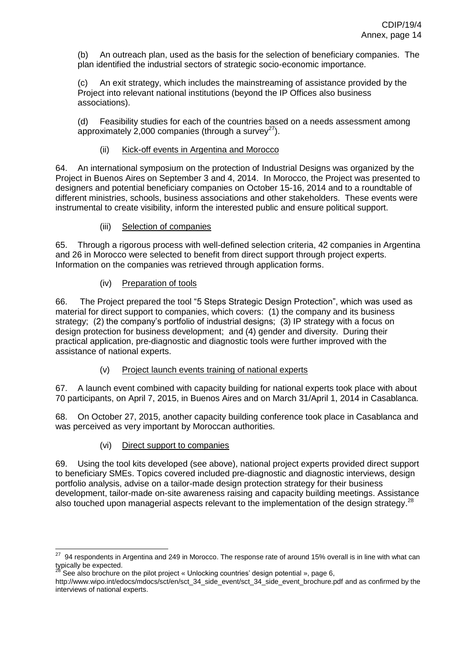(b) An outreach plan, used as the basis for the selection of beneficiary companies. The plan identified the industrial sectors of strategic socio-economic importance.

(c) An exit strategy, which includes the mainstreaming of assistance provided by the Project into relevant national institutions (beyond the IP Offices also business associations).

(d) Feasibility studies for each of the countries based on a needs assessment among approximately 2,000 companies (through a survey<sup>27</sup>).

## (ii) Kick-off events in Argentina and Morocco

<span id="page-14-0"></span>64. An international symposium on the protection of Industrial Designs was organized by the Project in Buenos Aires on September 3 and 4, 2014. In Morocco, the Project was presented to designers and potential beneficiary companies on October 15-16, 2014 and to a roundtable of different ministries, schools, business associations and other stakeholders. These events were instrumental to create visibility, inform the interested public and ensure political support.

## (iii) Selection of companies

<span id="page-14-1"></span>65. Through a rigorous process with well-defined selection criteria, 42 companies in Argentina and 26 in Morocco were selected to benefit from direct support through project experts. Information on the companies was retrieved through application forms.

# (iv) Preparation of tools

<span id="page-14-2"></span>66. The Project prepared the tool "5 Steps Strategic Design Protection", which was used as material for direct support to companies, which covers: (1) the company and its business strategy; (2) the company's portfolio of industrial designs; (3) IP strategy with a focus on design protection for business development; and (4) gender and diversity. During their practical application, pre-diagnostic and diagnostic tools were further improved with the assistance of national experts.

# (v) Project launch events training of national experts

<span id="page-14-3"></span>67. A launch event combined with capacity building for national experts took place with about 70 participants, on April 7, 2015, in Buenos Aires and on March 31/April 1, 2014 in Casablanca.

68. On October 27, 2015, another capacity building conference took place in Casablanca and was perceived as very important by Moroccan authorities.

# (vi) Direct support to companies

<span id="page-14-4"></span>69. Using the tool kits developed (see above), national project experts provided direct support to beneficiary SMEs. Topics covered included pre-diagnostic and diagnostic interviews, design portfolio analysis, advise on a tailor-made design protection strategy for their business development, tailor-made on-site awareness raising and capacity building meetings. Assistance also touched upon managerial aspects relevant to the implementation of the design strategy.<sup>28</sup>

<sup>&</sup>lt;u>27</u><br>27 94 respondents in Argentina and 249 in Morocco. The response rate of around 15% overall is in line with what can typically be expected.

See also brochure on the pilot project « Unlocking countries' design potential », page 6,

http://www.wipo.int/edocs/mdocs/sct/en/sct\_34\_side\_event/sct\_34\_side\_event\_brochure.pdf and as confirmed by the interviews of national experts.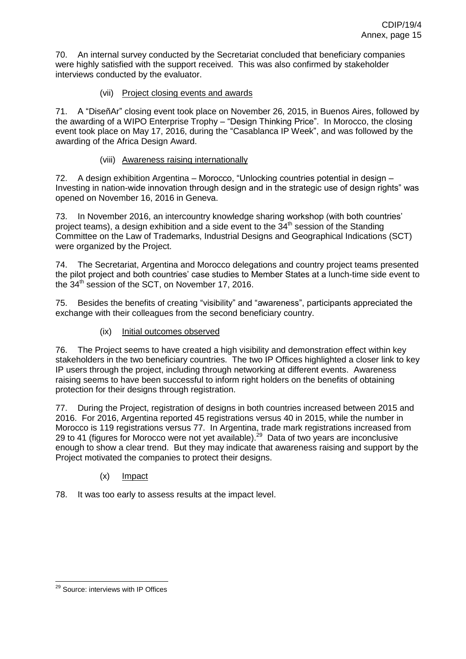70. An internal survey conducted by the Secretariat concluded that beneficiary companies were highly satisfied with the support received. This was also confirmed by stakeholder interviews conducted by the evaluator.

# (vii) Project closing events and awards

<span id="page-15-0"></span>71. A "DiseñAr" closing event took place on November 26, 2015, in Buenos Aires, followed by the awarding of a WIPO Enterprise Trophy – "Design Thinking Price". In Morocco, the closing event took place on May 17, 2016, during the "Casablanca IP Week", and was followed by the awarding of the Africa Design Award.

## (viii) Awareness raising internationally

<span id="page-15-1"></span>72. A design exhibition Argentina – Morocco, "Unlocking countries potential in design – Investing in nation-wide innovation through design and in the strategic use of design rights" was opened on November 16, 2016 in Geneva.

73. In November 2016, an intercountry knowledge sharing workshop (with both countries' project teams), a design exhibition and a side event to the  $34<sup>th</sup>$  session of the Standing Committee on the Law of Trademarks, Industrial Designs and Geographical Indications (SCT) were organized by the Project.

74. The Secretariat, Argentina and Morocco delegations and country project teams presented the pilot project and both countries' case studies to Member States at a lunch-time side event to the  $34<sup>th</sup>$  session of the SCT, on November 17, 2016.

75. Besides the benefits of creating "visibility" and "awareness", participants appreciated the exchange with their colleagues from the second beneficiary country.

(ix) Initial outcomes observed

<span id="page-15-2"></span>76. The Project seems to have created a high visibility and demonstration effect within key stakeholders in the two beneficiary countries. The two IP Offices highlighted a closer link to key IP users through the project, including through networking at different events. Awareness raising seems to have been successful to inform right holders on the benefits of obtaining protection for their designs through registration.

77. During the Project, registration of designs in both countries increased between 2015 and 2016. For 2016, Argentina reported 45 registrations versus 40 in 2015, while the number in Morocco is 119 registrations versus 77. In Argentina, trade mark registrations increased from 29 to 41 (figures for Morocco were not yet available).<sup>29</sup> Data of two years are inconclusive enough to show a clear trend. But they may indicate that awareness raising and support by the Project motivated the companies to protect their designs.

(x) Impact

<span id="page-15-3"></span>78. It was too early to assess results at the impact level.

<sup>&</sup>lt;sup>29</sup> Source: interviews with IP Offices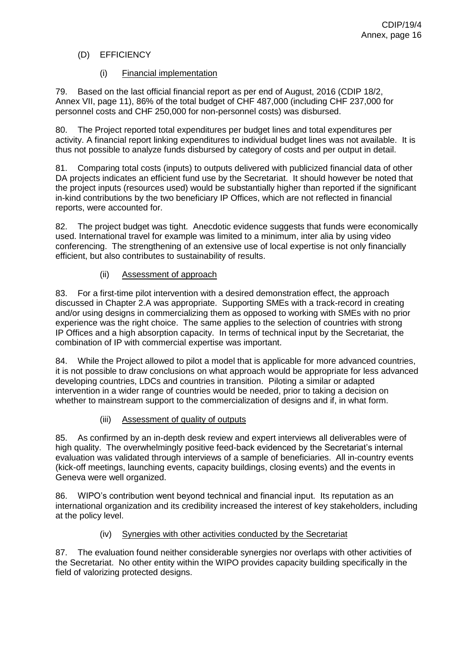# <span id="page-16-0"></span>(D) EFFICIENCY

# (i) Financial implementation

<span id="page-16-1"></span>79. Based on the last official financial report as per end of August, 2016 (CDIP 18/2, Annex VII, page 11), 86% of the total budget of CHF 487,000 (including CHF 237,000 for personnel costs and CHF 250,000 for non-personnel costs) was disbursed.

80. The Project reported total expenditures per budget lines and total expenditures per activity. A financial report linking expenditures to individual budget lines was not available. It is thus not possible to analyze funds disbursed by category of costs and per output in detail.

81. Comparing total costs (inputs) to outputs delivered with publicized financial data of other DA projects indicates an efficient fund use by the Secretariat. It should however be noted that the project inputs (resources used) would be substantially higher than reported if the significant in-kind contributions by the two beneficiary IP Offices, which are not reflected in financial reports, were accounted for.

82. The project budget was tight. Anecdotic evidence suggests that funds were economically used. International travel for example was limited to a minimum, inter alia by using video conferencing. The strengthening of an extensive use of local expertise is not only financially efficient, but also contributes to sustainability of results.

## (ii) Assessment of approach

<span id="page-16-2"></span>83. For a first-time pilot intervention with a desired demonstration effect, the approach discussed in Chapter 2.A was appropriate. Supporting SMEs with a track-record in creating and/or using designs in commercializing them as opposed to working with SMEs with no prior experience was the right choice. The same applies to the selection of countries with strong IP Offices and a high absorption capacity. In terms of technical input by the Secretariat, the combination of IP with commercial expertise was important.

84. While the Project allowed to pilot a model that is applicable for more advanced countries, it is not possible to draw conclusions on what approach would be appropriate for less advanced developing countries, LDCs and countries in transition. Piloting a similar or adapted intervention in a wider range of countries would be needed, prior to taking a decision on whether to mainstream support to the commercialization of designs and if, in what form.

# (iii) Assessment of quality of outputs

<span id="page-16-3"></span>85. As confirmed by an in-depth desk review and expert interviews all deliverables were of high quality. The overwhelmingly positive feed-back evidenced by the Secretariat's internal evaluation was validated through interviews of a sample of beneficiaries. All in-country events (kick-off meetings, launching events, capacity buildings, closing events) and the events in Geneva were well organized.

86. WIPO's contribution went beyond technical and financial input. Its reputation as an international organization and its credibility increased the interest of key stakeholders, including at the policy level.

# (iv) Synergies with other activities conducted by the Secretariat

<span id="page-16-4"></span>87. The evaluation found neither considerable synergies nor overlaps with other activities of the Secretariat. No other entity within the WIPO provides capacity building specifically in the field of valorizing protected designs.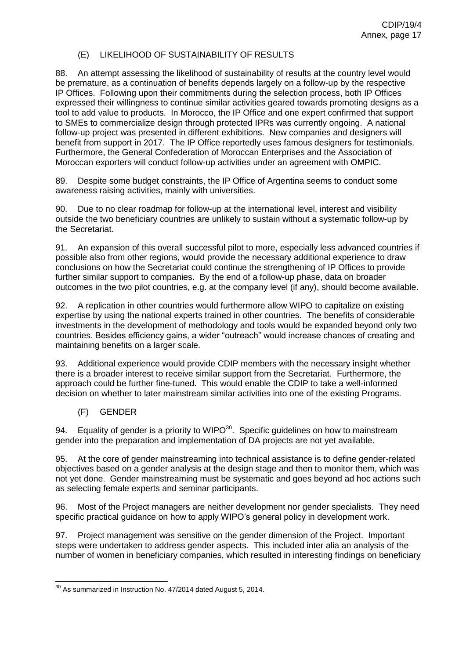### (E) LIKELIHOOD OF SUSTAINABILITY OF RESULTS

<span id="page-17-0"></span>88. An attempt assessing the likelihood of sustainability of results at the country level would be premature, as a continuation of benefits depends largely on a follow-up by the respective IP Offices. Following upon their commitments during the selection process, both IP Offices expressed their willingness to continue similar activities geared towards promoting designs as a tool to add value to products. In Morocco, the IP Office and one expert confirmed that support to SMEs to commercialize design through protected IPRs was currently ongoing. A national follow-up project was presented in different exhibitions. New companies and designers will benefit from support in 2017. The IP Office reportedly uses famous designers for testimonials. Furthermore, the General Confederation of Moroccan Enterprises and the Association of Moroccan exporters will conduct follow-up activities under an agreement with OMPIC.

89. Despite some budget constraints, the IP Office of Argentina seems to conduct some awareness raising activities, mainly with universities.

90. Due to no clear roadmap for follow-up at the international level, interest and visibility outside the two beneficiary countries are unlikely to sustain without a systematic follow-up by the Secretariat.

91. An expansion of this overall successful pilot to more, especially less advanced countries if possible also from other regions, would provide the necessary additional experience to draw conclusions on how the Secretariat could continue the strengthening of IP Offices to provide further similar support to companies. By the end of a follow-up phase, data on broader outcomes in the two pilot countries, e.g. at the company level (if any), should become available.

92. A replication in other countries would furthermore allow WIPO to capitalize on existing expertise by using the national experts trained in other countries. The benefits of considerable investments in the development of methodology and tools would be expanded beyond only two countries. Besides efficiency gains, a wider "outreach" would increase chances of creating and maintaining benefits on a larger scale.

93. Additional experience would provide CDIP members with the necessary insight whether there is a broader interest to receive similar support from the Secretariat. Furthermore, the approach could be further fine-tuned. This would enable the CDIP to take a well-informed decision on whether to later mainstream similar activities into one of the existing Programs.

### (F) GENDER

<span id="page-17-1"></span>94. Equality of gender is a priority to WIPO $30$ . Specific guidelines on how to mainstream gender into the preparation and implementation of DA projects are not yet available.

95. At the core of gender mainstreaming into technical assistance is to define gender-related objectives based on a gender analysis at the design stage and then to monitor them, which was not yet done. Gender mainstreaming must be systematic and goes beyond ad hoc actions such as selecting female experts and seminar participants.

96. Most of the Project managers are neither development nor gender specialists. They need specific practical guidance on how to apply WIPO's general policy in development work.

97. Project management was sensitive on the gender dimension of the Project. Important steps were undertaken to address gender aspects. This included inter alia an analysis of the number of women in beneficiary companies, which resulted in interesting findings on beneficiary

  $^{30}$  As summarized in Instruction No. 47/2014 dated August 5, 2014.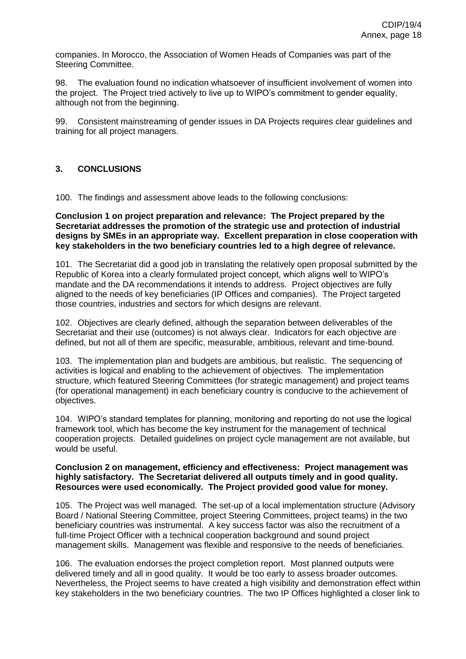companies. In Morocco, the Association of Women Heads of Companies was part of the Steering Committee.

98. The evaluation found no indication whatsoever of insufficient involvement of women into the project. The Project tried actively to live up to WIPO's commitment to gender equality, although not from the beginning.

99. Consistent mainstreaming of gender issues in DA Projects requires clear guidelines and training for all project managers.

# <span id="page-18-0"></span>**3. CONCLUSIONS**

100. The findings and assessment above leads to the following conclusions:

**Conclusion 1 on project preparation and relevance: The Project prepared by the Secretariat addresses the promotion of the strategic use and protection of industrial designs by SMEs in an appropriate way. Excellent preparation in close cooperation with key stakeholders in the two beneficiary countries led to a high degree of relevance.**

101. The Secretariat did a good job in translating the relatively open proposal submitted by the Republic of Korea into a clearly formulated project concept, which aligns well to WIPO's mandate and the DA recommendations it intends to address. Project objectives are fully aligned to the needs of key beneficiaries (IP Offices and companies). The Project targeted those countries, industries and sectors for which designs are relevant.

102. Objectives are clearly defined, although the separation between deliverables of the Secretariat and their use (outcomes) is not always clear. Indicators for each objective are defined, but not all of them are specific, measurable, ambitious, relevant and time-bound.

103. The implementation plan and budgets are ambitious, but realistic. The sequencing of activities is logical and enabling to the achievement of objectives. The implementation structure, which featured Steering Committees (for strategic management) and project teams (for operational management) in each beneficiary country is conducive to the achievement of objectives.

104. WIPO's standard templates for planning, monitoring and reporting do not use the logical framework tool, which has become the key instrument for the management of technical cooperation projects. Detailed guidelines on project cycle management are not available, but would be useful.

### **Conclusion 2 on management, efficiency and effectiveness: Project management was highly satisfactory. The Secretariat delivered all outputs timely and in good quality. Resources were used economically. The Project provided good value for money.**

105. The Project was well managed. The set-up of a local implementation structure (Advisory Board / National Steering Committee, project Steering Committees, project teams) in the two beneficiary countries was instrumental. A key success factor was also the recruitment of a full-time Project Officer with a technical cooperation background and sound project management skills. Management was flexible and responsive to the needs of beneficiaries.

106. The evaluation endorses the project completion report. Most planned outputs were delivered timely and all in good quality. It would be too early to assess broader outcomes. Nevertheless, the Project seems to have created a high visibility and demonstration effect within key stakeholders in the two beneficiary countries. The two IP Offices highlighted a closer link to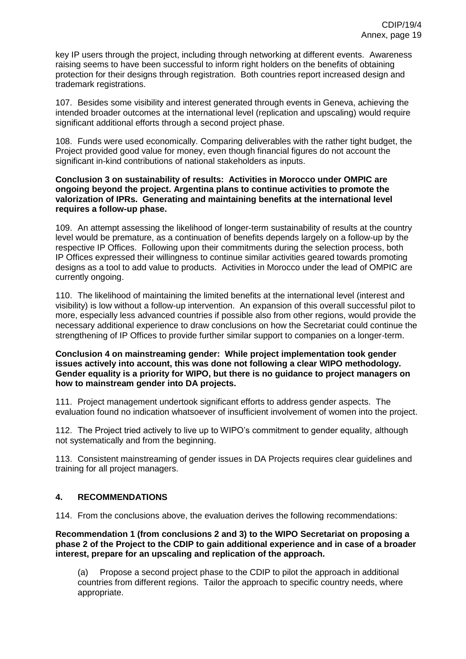key IP users through the project, including through networking at different events. Awareness raising seems to have been successful to inform right holders on the benefits of obtaining protection for their designs through registration. Both countries report increased design and trademark registrations.

107. Besides some visibility and interest generated through events in Geneva, achieving the intended broader outcomes at the international level (replication and upscaling) would require significant additional efforts through a second project phase.

108. Funds were used economically. Comparing deliverables with the rather tight budget, the Project provided good value for money, even though financial figures do not account the significant in-kind contributions of national stakeholders as inputs.

#### **Conclusion 3 on sustainability of results: Activities in Morocco under OMPIC are ongoing beyond the project. Argentina plans to continue activities to promote the valorization of IPRs. Generating and maintaining benefits at the international level requires a follow-up phase.**

109. An attempt assessing the likelihood of longer-term sustainability of results at the country level would be premature, as a continuation of benefits depends largely on a follow-up by the respective IP Offices. Following upon their commitments during the selection process, both IP Offices expressed their willingness to continue similar activities geared towards promoting designs as a tool to add value to products. Activities in Morocco under the lead of OMPIC are currently ongoing.

110. The likelihood of maintaining the limited benefits at the international level (interest and visibility) is low without a follow-up intervention. An expansion of this overall successful pilot to more, especially less advanced countries if possible also from other regions, would provide the necessary additional experience to draw conclusions on how the Secretariat could continue the strengthening of IP Offices to provide further similar support to companies on a longer-term.

#### **Conclusion 4 on mainstreaming gender: While project implementation took gender issues actively into account, this was done not following a clear WIPO methodology. Gender equality is a priority for WIPO, but there is no guidance to project managers on how to mainstream gender into DA projects.**

111. Project management undertook significant efforts to address gender aspects. The evaluation found no indication whatsoever of insufficient involvement of women into the project.

112. The Project tried actively to live up to WIPO's commitment to gender equality, although not systematically and from the beginning.

113. Consistent mainstreaming of gender issues in DA Projects requires clear guidelines and training for all project managers.

# <span id="page-19-0"></span>**4. RECOMMENDATIONS**

114. From the conclusions above, the evaluation derives the following recommendations:

**Recommendation 1 (from conclusions 2 and 3) to the WIPO Secretariat on proposing a phase 2 of the Project to the CDIP to gain additional experience and in case of a broader interest, prepare for an upscaling and replication of the approach.**

(a) Propose a second project phase to the CDIP to pilot the approach in additional countries from different regions. Tailor the approach to specific country needs, where appropriate.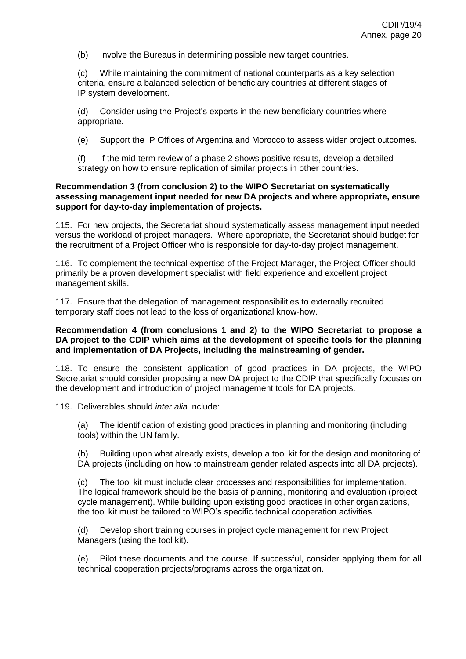(b) Involve the Bureaus in determining possible new target countries.

(c) While maintaining the commitment of national counterparts as a key selection criteria, ensure a balanced selection of beneficiary countries at different stages of IP system development.

(d) Consider using the Project's experts in the new beneficiary countries where appropriate.

(e) Support the IP Offices of Argentina and Morocco to assess wider project outcomes.

(f) If the mid-term review of a phase 2 shows positive results, develop a detailed strategy on how to ensure replication of similar projects in other countries.

#### **Recommendation 3 (from conclusion 2) to the WIPO Secretariat on systematically assessing management input needed for new DA projects and where appropriate, ensure support for day-to-day implementation of projects.**

115. For new projects, the Secretariat should systematically assess management input needed versus the workload of project managers. Where appropriate, the Secretariat should budget for the recruitment of a Project Officer who is responsible for day-to-day project management.

116. To complement the technical expertise of the Project Manager, the Project Officer should primarily be a proven development specialist with field experience and excellent project management skills.

117. Ensure that the delegation of management responsibilities to externally recruited temporary staff does not lead to the loss of organizational know-how.

#### **Recommendation 4 (from conclusions 1 and 2) to the WIPO Secretariat to propose a DA project to the CDIP which aims at the development of specific tools for the planning and implementation of DA Projects, including the mainstreaming of gender.**

118. To ensure the consistent application of good practices in DA projects, the WIPO Secretariat should consider proposing a new DA project to the CDIP that specifically focuses on the development and introduction of project management tools for DA projects.

119. Deliverables should *inter alia* include:

(a) The identification of existing good practices in planning and monitoring (including tools) within the UN family.

(b) Building upon what already exists, develop a tool kit for the design and monitoring of DA projects (including on how to mainstream gender related aspects into all DA projects).

(c) The tool kit must include clear processes and responsibilities for implementation. The logical framework should be the basis of planning, monitoring and evaluation (project cycle management). While building upon existing good practices in other organizations, the tool kit must be tailored to WIPO's specific technical cooperation activities.

(d) Develop short training courses in project cycle management for new Project Managers (using the tool kit).

(e) Pilot these documents and the course. If successful, consider applying them for all technical cooperation projects/programs across the organization.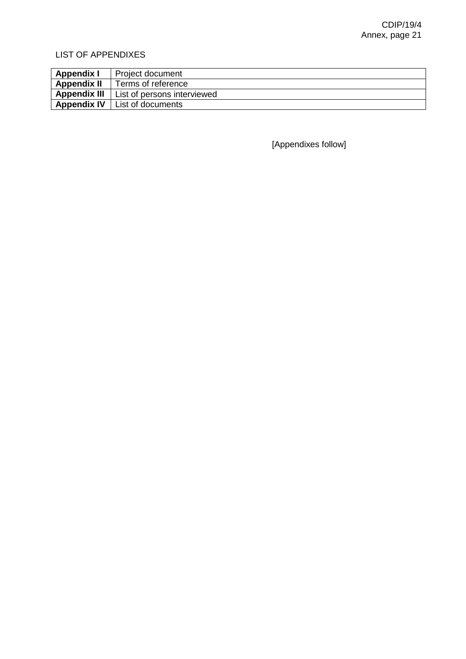# LIST OF APPENDIXES

| <b>Appendix I</b>   | Project document            |
|---------------------|-----------------------------|
| <b>Appendix II</b>  | Terms of reference          |
| <b>Appendix III</b> | List of persons interviewed |
| <b>Appendix IV</b>  | List of documents           |

[Appendixes follow]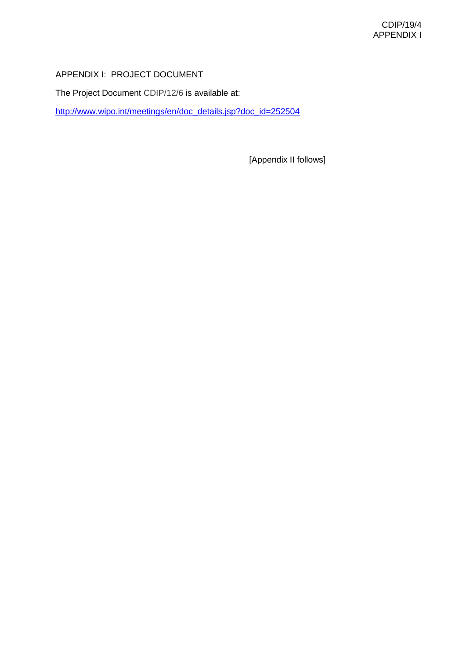# APPENDIX I: PROJECT DOCUMENT

The Project Document CDIP/12/6 is available at:

[http://www.wipo.int/meetings/en/doc\\_details.jsp?doc\\_id=252504](http://www.wipo.int/meetings/en/doc_details.jsp?doc_id=252504)

[Appendix II follows]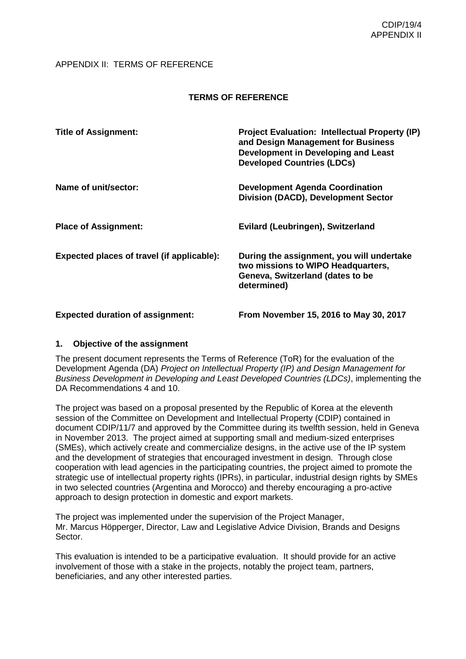### APPENDIX II: TERMS OF REFERENCE

## **TERMS OF REFERENCE**

| <b>Title of Assignment:</b>                | <b>Project Evaluation: Intellectual Property (IP)</b><br>and Design Management for Business<br>Development in Developing and Least<br><b>Developed Countries (LDCs)</b> |
|--------------------------------------------|-------------------------------------------------------------------------------------------------------------------------------------------------------------------------|
| Name of unit/sector:                       | <b>Development Agenda Coordination</b><br><b>Division (DACD), Development Sector</b>                                                                                    |
| <b>Place of Assignment:</b>                | Evilard (Leubringen), Switzerland                                                                                                                                       |
| Expected places of travel (if applicable): | During the assignment, you will undertake<br>two missions to WIPO Headquarters,<br>Geneva, Switzerland (dates to be<br>determined)                                      |
| <b>Expected duration of assignment:</b>    | From November 15, 2016 to May 30, 2017                                                                                                                                  |

### **1. Objective of the assignment**

The present document represents the Terms of Reference (ToR) for the evaluation of the Development Agenda (DA) *Project on Intellectual Property (IP) and Design Management for Business Development in Developing and Least Developed Countries (LDCs)*, implementing the DA Recommendations 4 and 10.

The project was based on a proposal presented by the Republic of Korea at the eleventh session of the Committee on Development and Intellectual Property (CDIP) contained in document CDIP/11/7 and approved by the Committee during its twelfth session, held in Geneva in November 2013. The project aimed at supporting small and medium-sized enterprises (SMEs), which actively create and commercialize designs, in the active use of the IP system and the development of strategies that encouraged investment in design. Through close cooperation with lead agencies in the participating countries, the project aimed to promote the strategic use of intellectual property rights (IPRs), in particular, industrial design rights by SMEs in two selected countries (Argentina and Morocco) and thereby encouraging a pro-active approach to design protection in domestic and export markets.

The project was implemented under the supervision of the Project Manager, Mr. Marcus Höpperger, Director, Law and Legislative Advice Division, Brands and Designs Sector.

This evaluation is intended to be a participative evaluation. It should provide for an active involvement of those with a stake in the projects, notably the project team, partners, beneficiaries, and any other interested parties.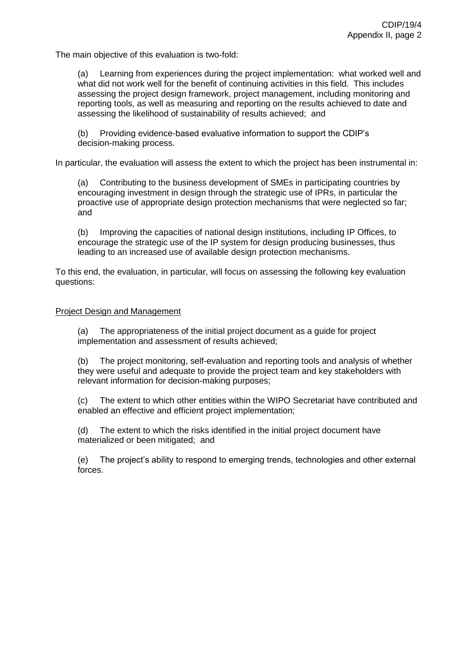The main objective of this evaluation is two-fold:

(a) Learning from experiences during the project implementation: what worked well and what did not work well for the benefit of continuing activities in this field. This includes assessing the project design framework, project management, including monitoring and reporting tools, as well as measuring and reporting on the results achieved to date and assessing the likelihood of sustainability of results achieved; and

(b) Providing evidence-based evaluative information to support the CDIP's decision-making process.

In particular, the evaluation will assess the extent to which the project has been instrumental in:

(a) Contributing to the business development of SMEs in participating countries by encouraging investment in design through the strategic use of IPRs, in particular the proactive use of appropriate design protection mechanisms that were neglected so far; and

(b) Improving the capacities of national design institutions, including IP Offices, to encourage the strategic use of the IP system for design producing businesses, thus leading to an increased use of available design protection mechanisms.

To this end, the evaluation, in particular, will focus on assessing the following key evaluation questions:

#### Project Design and Management

(a) The appropriateness of the initial project document as a guide for project implementation and assessment of results achieved;

(b) The project monitoring, self-evaluation and reporting tools and analysis of whether they were useful and adequate to provide the project team and key stakeholders with relevant information for decision-making purposes;

(c) The extent to which other entities within the WIPO Secretariat have contributed and enabled an effective and efficient project implementation;

(d) The extent to which the risks identified in the initial project document have materialized or been mitigated; and

(e) The project's ability to respond to emerging trends, technologies and other external forces.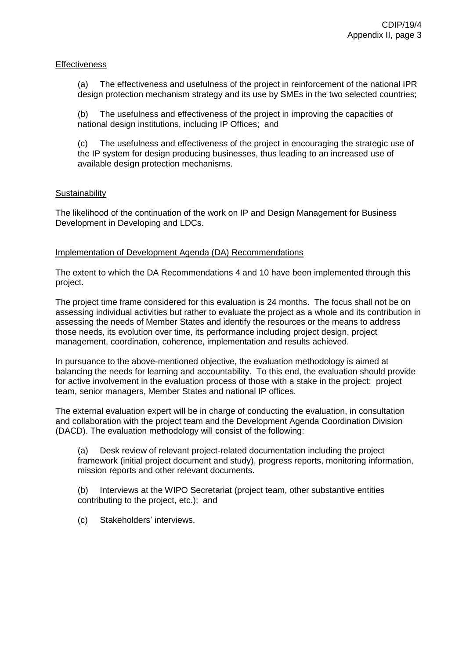#### **Effectiveness**

(a) The effectiveness and usefulness of the project in reinforcement of the national IPR design protection mechanism strategy and its use by SMEs in the two selected countries;

(b) The usefulness and effectiveness of the project in improving the capacities of national design institutions, including IP Offices; and

(c) The usefulness and effectiveness of the project in encouraging the strategic use of the IP system for design producing businesses, thus leading to an increased use of available design protection mechanisms.

#### **Sustainability**

The likelihood of the continuation of the work on IP and Design Management for Business Development in Developing and LDCs.

#### Implementation of Development Agenda (DA) Recommendations

The extent to which the DA Recommendations 4 and 10 have been implemented through this project.

The project time frame considered for this evaluation is 24 months. The focus shall not be on assessing individual activities but rather to evaluate the project as a whole and its contribution in assessing the needs of Member States and identify the resources or the means to address those needs, its evolution over time, its performance including project design, project management, coordination, coherence, implementation and results achieved.

In pursuance to the above-mentioned objective, the evaluation methodology is aimed at balancing the needs for learning and accountability. To this end, the evaluation should provide for active involvement in the evaluation process of those with a stake in the project: project team, senior managers, Member States and national IP offices.

The external evaluation expert will be in charge of conducting the evaluation, in consultation and collaboration with the project team and the Development Agenda Coordination Division (DACD). The evaluation methodology will consist of the following:

(a) Desk review of relevant project-related documentation including the project framework (initial project document and study), progress reports, monitoring information, mission reports and other relevant documents.

(b) Interviews at the WIPO Secretariat (project team, other substantive entities contributing to the project, etc.); and

(c) Stakeholders' interviews.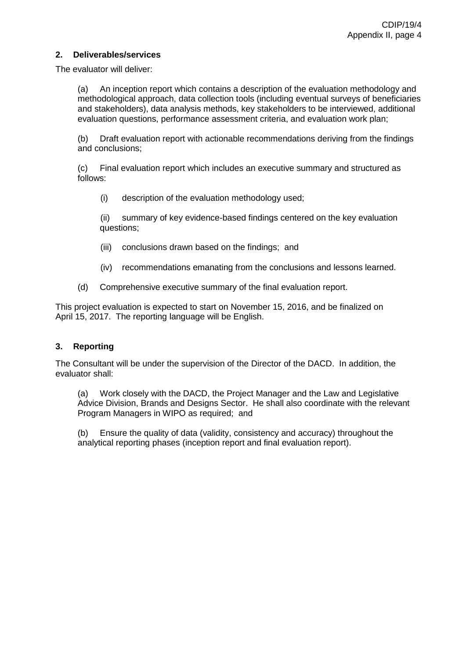#### **2. Deliverables/services**

The evaluator will deliver:

(a) An inception report which contains a description of the evaluation methodology and methodological approach, data collection tools (including eventual surveys of beneficiaries and stakeholders), data analysis methods, key stakeholders to be interviewed, additional evaluation questions, performance assessment criteria, and evaluation work plan;

(b) Draft evaluation report with actionable recommendations deriving from the findings and conclusions;

(c) Final evaluation report which includes an executive summary and structured as follows:

(i) description of the evaluation methodology used;

(ii) summary of key evidence-based findings centered on the key evaluation questions;

- (iii) conclusions drawn based on the findings; and
- (iv) recommendations emanating from the conclusions and lessons learned.
- (d) Comprehensive executive summary of the final evaluation report.

This project evaluation is expected to start on November 15, 2016, and be finalized on April 15, 2017. The reporting language will be English.

### **3. Reporting**

The Consultant will be under the supervision of the Director of the DACD. In addition, the evaluator shall:

(a) Work closely with the DACD, the Project Manager and the Law and Legislative Advice Division, Brands and Designs Sector. He shall also coordinate with the relevant Program Managers in WIPO as required; and

(b) Ensure the quality of data (validity, consistency and accuracy) throughout the analytical reporting phases (inception report and final evaluation report).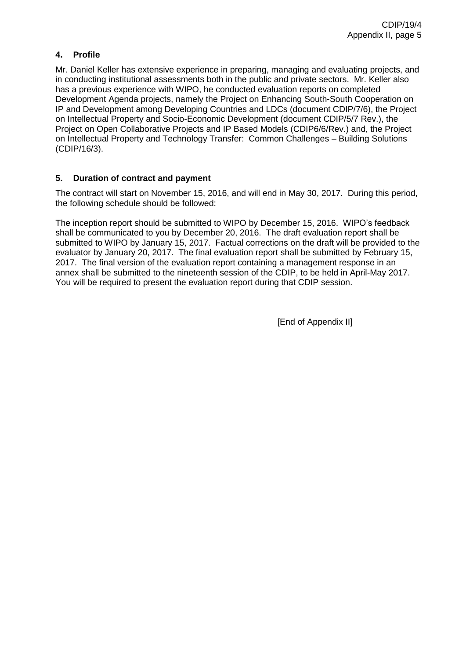## **4. Profile**

Mr. Daniel Keller has extensive experience in preparing, managing and evaluating projects, and in conducting institutional assessments both in the public and private sectors. Mr. Keller also has a previous experience with WIPO, he conducted evaluation reports on completed Development Agenda projects, namely the Project on Enhancing South-South Cooperation on IP and Development among Developing Countries and LDCs (document CDIP/7/6), the Project on Intellectual Property and Socio-Economic Development (document CDIP/5/7 Rev.), the Project on Open Collaborative Projects and IP Based Models (CDIP6/6/Rev.) and, the Project on Intellectual Property and Technology Transfer: Common Challenges – Building Solutions (CDIP/16/3).

### **5. Duration of contract and payment**

The contract will start on November 15, 2016, and will end in May 30, 2017. During this period, the following schedule should be followed:

The inception report should be submitted to WIPO by December 15, 2016. WIPO's feedback shall be communicated to you by December 20, 2016. The draft evaluation report shall be submitted to WIPO by January 15, 2017. Factual corrections on the draft will be provided to the evaluator by January 20, 2017. The final evaluation report shall be submitted by February 15, 2017. The final version of the evaluation report containing a management response in an annex shall be submitted to the nineteenth session of the CDIP, to be held in April-May 2017. You will be required to present the evaluation report during that CDIP session.

[End of Appendix II]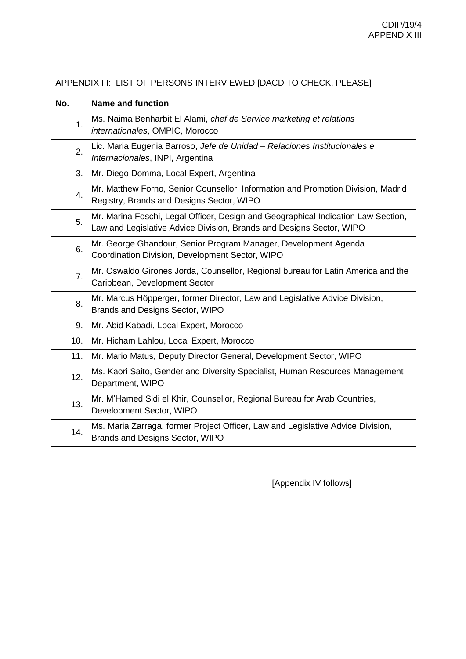| No. | <b>Name and function</b>                                                                                                                                  |
|-----|-----------------------------------------------------------------------------------------------------------------------------------------------------------|
| 1.  | Ms. Naima Benharbit El Alami, chef de Service marketing et relations<br>internationales, OMPIC, Morocco                                                   |
| 2.  | Lic. Maria Eugenia Barroso, Jefe de Unidad - Relaciones Institucionales e<br>Internacionales, INPI, Argentina                                             |
| 3.  | Mr. Diego Domma, Local Expert, Argentina                                                                                                                  |
| 4.  | Mr. Matthew Forno, Senior Counsellor, Information and Promotion Division, Madrid<br>Registry, Brands and Designs Sector, WIPO                             |
| 5.  | Mr. Marina Foschi, Legal Officer, Design and Geographical Indication Law Section,<br>Law and Legislative Advice Division, Brands and Designs Sector, WIPO |
| 6.  | Mr. George Ghandour, Senior Program Manager, Development Agenda<br>Coordination Division, Development Sector, WIPO                                        |
| 7.  | Mr. Oswaldo Girones Jorda, Counsellor, Regional bureau for Latin America and the<br>Caribbean, Development Sector                                         |
| 8.  | Mr. Marcus Höpperger, former Director, Law and Legislative Advice Division,<br>Brands and Designs Sector, WIPO                                            |
| 9.  | Mr. Abid Kabadi, Local Expert, Morocco                                                                                                                    |
| 10. | Mr. Hicham Lahlou, Local Expert, Morocco                                                                                                                  |
| 11. | Mr. Mario Matus, Deputy Director General, Development Sector, WIPO                                                                                        |
| 12. | Ms. Kaori Saito, Gender and Diversity Specialist, Human Resources Management<br>Department, WIPO                                                          |
| 13. | Mr. M'Hamed Sidi el Khir, Counsellor, Regional Bureau for Arab Countries,<br>Development Sector, WIPO                                                     |
| 14. | Ms. Maria Zarraga, former Project Officer, Law and Legislative Advice Division,<br>Brands and Designs Sector, WIPO                                        |

APPENDIX III: LIST OF PERSONS INTERVIEWED [DACD TO CHECK, PLEASE]

[Appendix IV follows]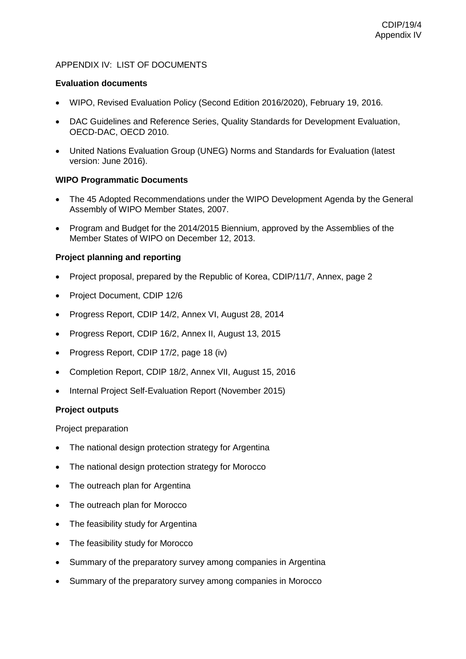### APPENDIX IV: LIST OF DOCUMENTS

#### **Evaluation documents**

- WIPO, Revised Evaluation Policy (Second Edition 2016/2020), February 19, 2016.
- DAC Guidelines and Reference Series, Quality Standards for Development Evaluation, OECD-DAC, OECD 2010.
- United Nations Evaluation Group (UNEG) Norms and Standards for Evaluation (latest version: June 2016).

#### **WIPO Programmatic Documents**

- The 45 Adopted Recommendations under the WIPO Development Agenda by the General Assembly of WIPO Member States, 2007.
- Program and Budget for the 2014/2015 Biennium, approved by the Assemblies of the Member States of WIPO on December 12, 2013.

### **Project planning and reporting**

- Project proposal, prepared by the Republic of Korea, CDIP/11/7, Annex, page 2
- Project Document, CDIP 12/6
- Progress Report, CDIP 14/2, Annex VI, August 28, 2014
- Progress Report, CDIP 16/2, Annex II, August 13, 2015
- Progress Report, CDIP 17/2, page 18 (iv)
- Completion Report, CDIP 18/2, Annex VII, August 15, 2016
- Internal Project Self-Evaluation Report (November 2015)

#### **Project outputs**

Project preparation

- The national design protection strategy for Argentina
- The national design protection strategy for Morocco
- The outreach plan for Argentina
- The outreach plan for Morocco
- The feasibility study for Argentina
- The feasibility study for Morocco
- Summary of the preparatory survey among companies in Argentina
- Summary of the preparatory survey among companies in Morocco